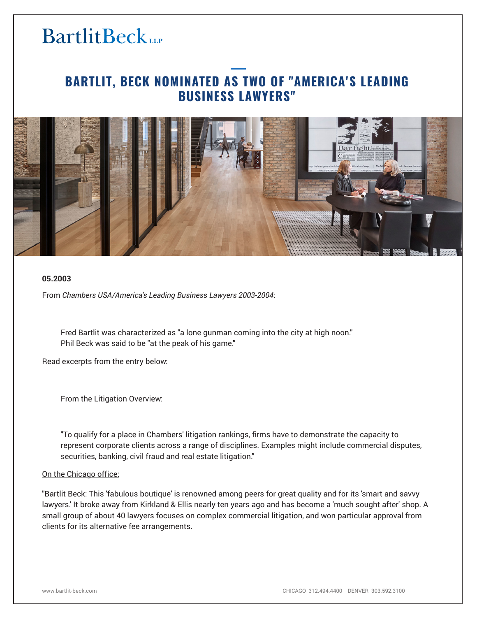# **BartlitBeck**

### **BARTLIT, BECK NOMINATED AS TWO OF "AMERICA'S LEADING BUSINESS LAWYERS"**



### **05.2003**

From *Chambers USA/America's Leading Business Lawyers 2003-2004*:

Fred Bartlit was characterized as "a lone gunman coming into the city at high noon." Phil Beck was said to be "at the peak of his game."

Read excerpts from the entry below:

From the Litigation Overview:

"To qualify for a place in Chambers' litigation rankings, firms have to demonstrate the capacity to represent corporate clients across a range of disciplines. Examples might include commercial disputes, securities, banking, civil fraud and real estate litigation."

#### On the Chicago office:

"Bartlit Beck: This 'fabulous boutique' is renowned among peers for great quality and for its 'smart and savvy lawyers.' It broke away from Kirkland & Ellis nearly ten years ago and has become a 'much sought after' shop. A small group of about 40 lawyers focuses on complex commercial litigation, and won particular approval from clients for its alternative fee arrangements.